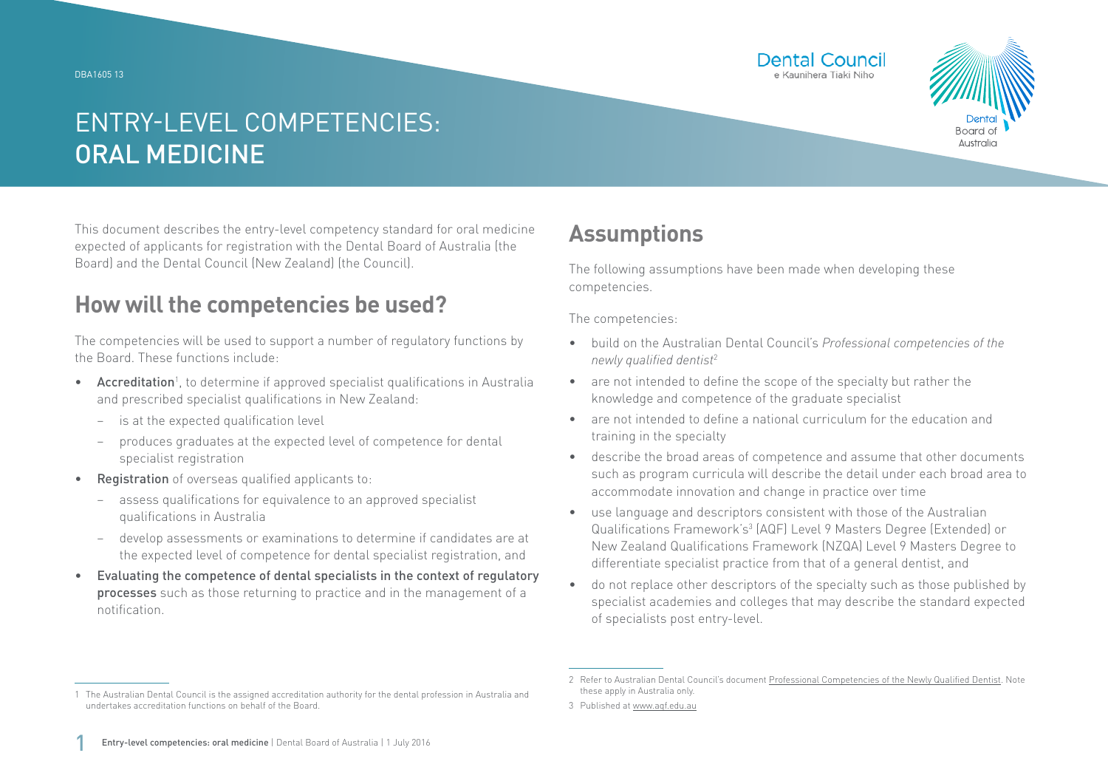DBA1605 13





# ENTRY-LEVEL COMPETENCIES: ORAL MEDICINE

This document describes the entry-level competency standard for oral medicine expected of applicants for registration with the Dental Board of Australia (the Board) and the Dental Council (New Zealand) (the Council).

### **How will the competencies be used?**

The competencies will be used to support a number of regulatory functions by the Board. These functions include:

- Accreditation<sup>1</sup>, to determine if approved specialist qualifications in Australia and prescribed specialist qualifications in New Zealand:
	- − is at the expected qualification level
	- − produces graduates at the expected level of competence for dental specialist registration
- Registration of overseas qualified applicants to:
	- assess qualifications for equivalence to an approved specialist qualifications in Australia
	- − develop assessments or examinations to determine if candidates are at the expected level of competence for dental specialist registration, and
- Evaluating the competence of dental specialists in the context of regulatory processes such as those returning to practice and in the management of a notification.

## **Assumptions**

The following assumptions have been made when developing these competencies.

The competencies:

- build on the Australian Dental Council's *Professional competencies of the newly qualified dentist*<sup>2</sup>
- are not intended to define the scope of the specialty but rather the knowledge and competence of the graduate specialist
- are not intended to define a national curriculum for the education and training in the specialty
- describe the broad areas of competence and assume that other documents such as program curricula will describe the detail under each broad area to accommodate innovation and change in practice over time
- use language and descriptors consistent with those of the Australian Qualifications Framework's<sup>3</sup> (AQF) Level 9 Masters Degree (Extended) or New Zealand Qualifications Framework (NZQA) Level 9 Masters Degree to differentiate specialist practice from that of a general dentist, and
- do not replace other descriptors of the specialty such as those published by specialist academies and colleges that may describe the standard expected of specialists post entry-level.

<sup>1</sup> The Australian Dental Council is the assigned accreditation authority for the dental profession in Australia and undertakes accreditation functions on behalf of the Board.

<sup>2</sup> Refer to Australian Dental Council's document [Professional Competencies of the Newly Qualified Dentist.](http://Professional Competencies of the Newly Qualified Dentist) Note these apply in Australia only.

<sup>3</sup> Published at [www.aqf.edu.au](http://www.aqf.edu.au)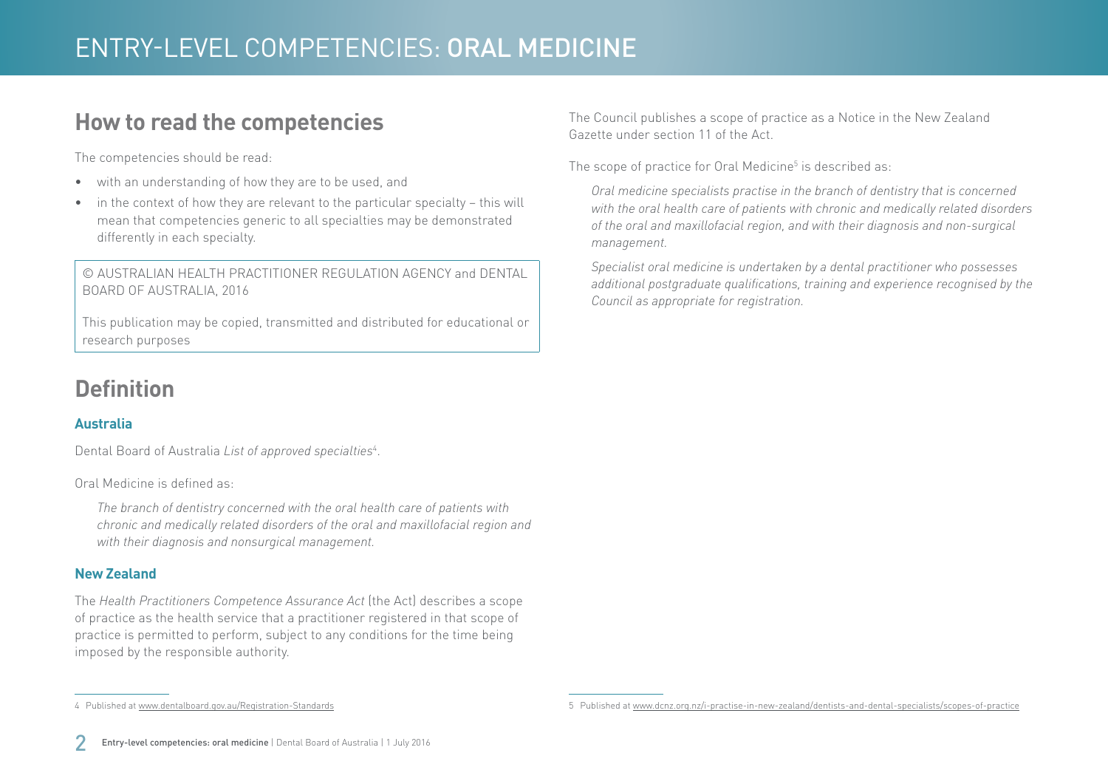### **How to read the competencies**

The competencies should be read:

- with an understanding of how they are to be used, and
- in the context of how they are relevant to the particular specialty this will mean that competencies generic to all specialties may be demonstrated differently in each specialty.

© AUSTRALIAN HEALTH PRACTITIONER REGULATION AGENCY and DENTAL BOARD OF AUSTRALIA, 2016

This publication may be copied, transmitted and distributed for educational or research purposes

## **Definition**

#### **Australia**

Dental Board of Australia *List of approved specialties*<sup>4</sup> .

Oral Medicine is defined as:

*The branch of dentistry concerned with the oral health care of patients with chronic and medically related disorders of the oral and maxillofacial region and with their diagnosis and nonsurgical management.*

#### **New Zealand**

The *Health Practitioners Competence Assurance Act* (the Act) describes a scope of practice as the health service that a practitioner registered in that scope of practice is permitted to perform, subject to any conditions for the time being imposed by the responsible authority.

The Council publishes a scope of practice as a Notice in the New Zealand Gazette under section 11 of the Act.

The scope of practice for Oral Medicine $5$  is described as:

*Oral medicine specialists practise in the branch of dentistry that is concerned with the oral health care of patients with chronic and medically related disorders of the oral and maxillofacial region, and with their diagnosis and non-surgical management.*

*Specialist oral medicine is undertaken by a dental practitioner who possesses additional postgraduate qualifications, training and experience recognised by the Council as appropriate for registration.*

4 Published at [www.dentalboard.gov.au/Registration-Standards](http://www.dentalboard.gov.au/Registration-Standards.aspx)

<sup>5</sup> Published at [www.dcnz.org.nz/i-practise-in-new-zealand/dentists-and-dental-specialists/scopes-of-practice](http://www.dcnz.org.nz/i-practise-in-new-zealand/dentists-and-dental-specialists/scopes-of-practice)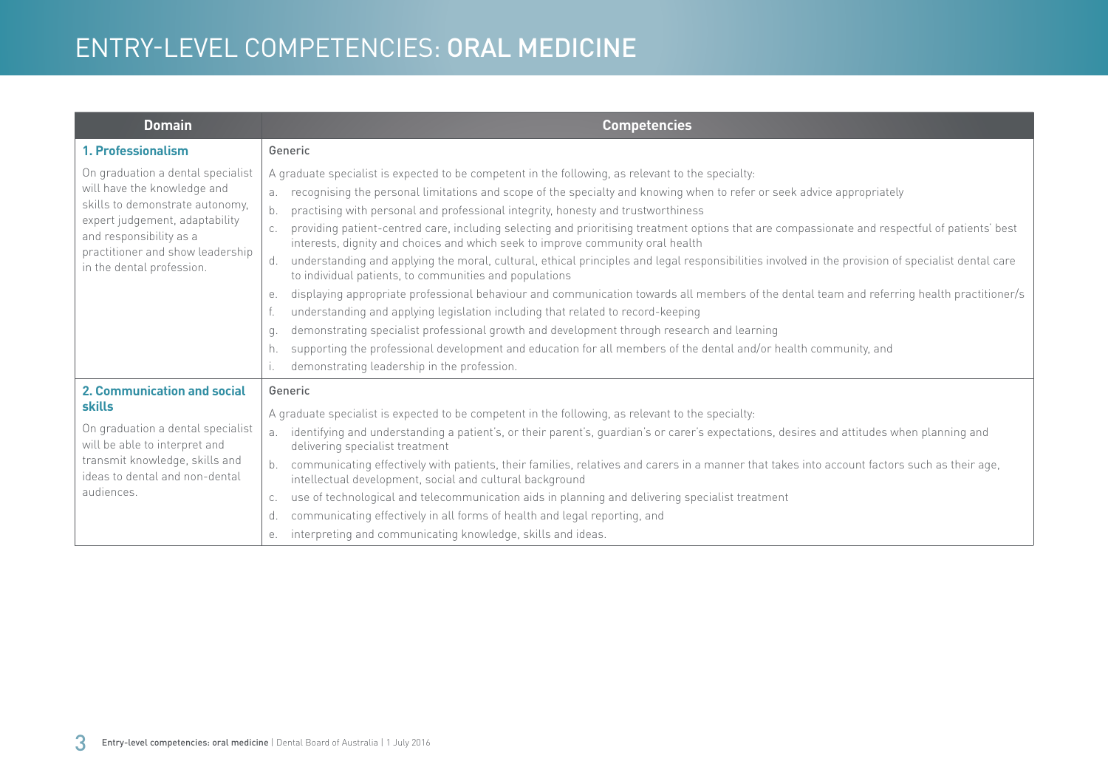## ENTRY-LEVEL COMPETENCIES: ORAL MEDICINE

| <b>Domain</b>                                                                                                                                                                                                                     | <b>Competencies</b>                                                                                                                                                                                                                                                                                                                                                                                                                                                                                                                                                                                                                                                                                                                                                                                                                                                                                                                                                                                                                                                                                                                                                                                                                                                                                      |
|-----------------------------------------------------------------------------------------------------------------------------------------------------------------------------------------------------------------------------------|----------------------------------------------------------------------------------------------------------------------------------------------------------------------------------------------------------------------------------------------------------------------------------------------------------------------------------------------------------------------------------------------------------------------------------------------------------------------------------------------------------------------------------------------------------------------------------------------------------------------------------------------------------------------------------------------------------------------------------------------------------------------------------------------------------------------------------------------------------------------------------------------------------------------------------------------------------------------------------------------------------------------------------------------------------------------------------------------------------------------------------------------------------------------------------------------------------------------------------------------------------------------------------------------------------|
| 1. Professionalism                                                                                                                                                                                                                | Generic                                                                                                                                                                                                                                                                                                                                                                                                                                                                                                                                                                                                                                                                                                                                                                                                                                                                                                                                                                                                                                                                                                                                                                                                                                                                                                  |
| On graduation a dental specialist<br>will have the knowledge and<br>skills to demonstrate autonomy,<br>expert judgement, adaptability<br>and responsibility as a<br>practitioner and show leadership<br>in the dental profession. | A graduate specialist is expected to be competent in the following, as relevant to the specialty:<br>recognising the personal limitations and scope of the specialty and knowing when to refer or seek advice appropriately<br>a.<br>b.<br>practising with personal and professional integrity, honesty and trustworthiness<br>providing patient-centred care, including selecting and prioritising treatment options that are compassionate and respectful of patients' best<br>interests, dignity and choices and which seek to improve community oral health<br>understanding and applying the moral, cultural, ethical principles and legal responsibilities involved in the provision of specialist dental care<br>d.<br>to individual patients, to communities and populations<br>displaying appropriate professional behaviour and communication towards all members of the dental team and referring health practitioner/s<br>е.<br>understanding and applying legislation including that related to record-keeping<br>demonstrating specialist professional growth and development through research and learning<br>q.<br>supporting the professional development and education for all members of the dental and/or health community, and<br>h.<br>demonstrating leadership in the profession. |
| <b>2. Communication and social</b><br><b>skills</b><br>On graduation a dental specialist<br>will be able to interpret and<br>transmit knowledge, skills and<br>ideas to dental and non-dental<br>audiences.                       | Generic<br>A graduate specialist is expected to be competent in the following, as relevant to the specialty:<br>identifying and understanding a patient's, or their parent's, guardian's or carer's expectations, desires and attitudes when planning and<br>a.<br>delivering specialist treatment<br>communicating effectively with patients, their families, relatives and carers in a manner that takes into account factors such as their age,<br>intellectual development, social and cultural background<br>use of technological and telecommunication aids in planning and delivering specialist treatment<br>C.<br>communicating effectively in all forms of health and legal reporting, and<br>d.<br>interpreting and communicating knowledge, skills and ideas.<br>е.                                                                                                                                                                                                                                                                                                                                                                                                                                                                                                                          |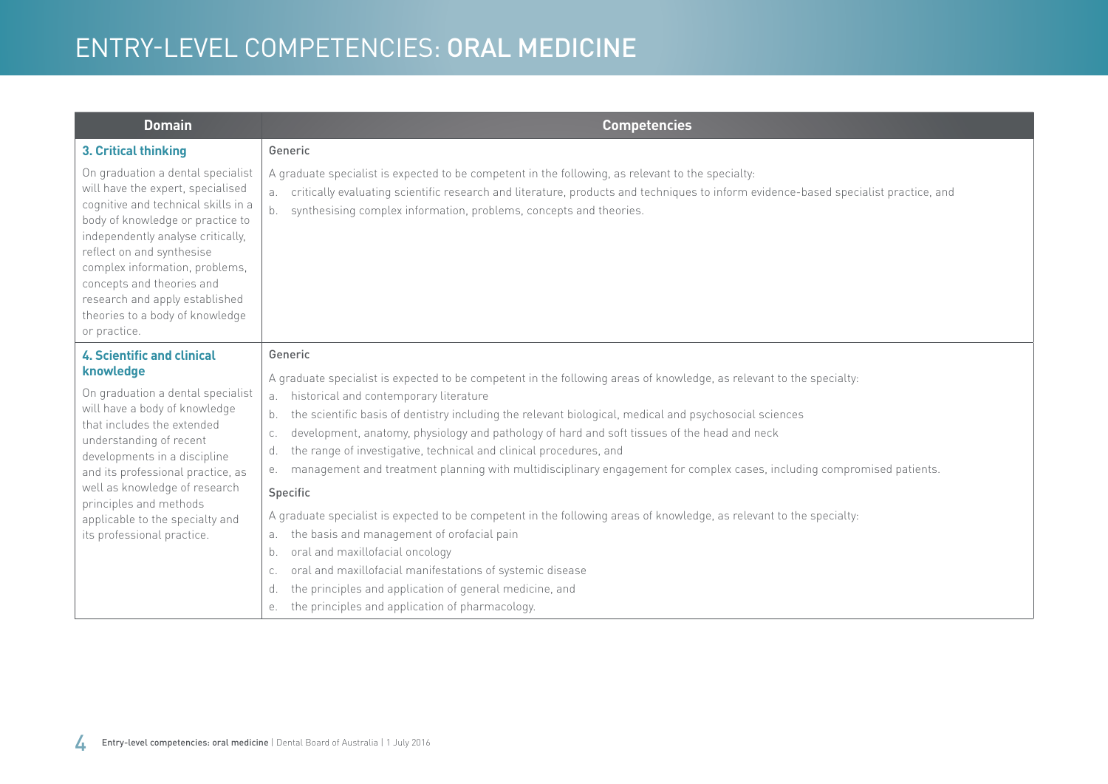# ENTRY-LEVEL COMPETENCIES: ORAL MEDICINE

| <b>Domain</b>                                                                                                                                                                                                                                                                                                                                                           | <b>Competencies</b>                                                                                                                                                                                                                                                                                                                    |
|-------------------------------------------------------------------------------------------------------------------------------------------------------------------------------------------------------------------------------------------------------------------------------------------------------------------------------------------------------------------------|----------------------------------------------------------------------------------------------------------------------------------------------------------------------------------------------------------------------------------------------------------------------------------------------------------------------------------------|
| 3. Critical thinking                                                                                                                                                                                                                                                                                                                                                    | Generic                                                                                                                                                                                                                                                                                                                                |
| On graduation a dental specialist<br>will have the expert, specialised<br>cognitive and technical skills in a<br>body of knowledge or practice to<br>independently analyse critically,<br>reflect on and synthesise<br>complex information, problems,<br>concepts and theories and<br>research and apply established<br>theories to a body of knowledge<br>or practice. | A graduate specialist is expected to be competent in the following, as relevant to the specialty:<br>critically evaluating scientific research and literature, products and techniques to inform evidence-based specialist practice, and<br>а.<br>synthesising complex information, problems, concepts and theories.<br>b <sub>1</sub> |
| <b>4. Scientific and clinical</b>                                                                                                                                                                                                                                                                                                                                       | Generic                                                                                                                                                                                                                                                                                                                                |
| knowledge<br>On graduation a dental specialist<br>will have a body of knowledge<br>that includes the extended<br>understanding of recent<br>developments in a discipline<br>and its professional practice, as<br>well as knowledge of research<br>principles and methods<br>applicable to the specialty and<br>its professional practice.                               | A graduate specialist is expected to be competent in the following areas of knowledge, as relevant to the specialty:                                                                                                                                                                                                                   |
|                                                                                                                                                                                                                                                                                                                                                                         | historical and contemporary literature<br>а.<br>the scientific basis of dentistry including the relevant biological, medical and psychosocial sciences<br>b.                                                                                                                                                                           |
|                                                                                                                                                                                                                                                                                                                                                                         | development, anatomy, physiology and pathology of hard and soft tissues of the head and neck<br>C.                                                                                                                                                                                                                                     |
|                                                                                                                                                                                                                                                                                                                                                                         | the range of investigative, technical and clinical procedures, and<br>d.                                                                                                                                                                                                                                                               |
|                                                                                                                                                                                                                                                                                                                                                                         | management and treatment planning with multidisciplinary engagement for complex cases, including compromised patients.<br>е.                                                                                                                                                                                                           |
|                                                                                                                                                                                                                                                                                                                                                                         | Specific                                                                                                                                                                                                                                                                                                                               |
|                                                                                                                                                                                                                                                                                                                                                                         | A graduate specialist is expected to be competent in the following areas of knowledge, as relevant to the specialty:                                                                                                                                                                                                                   |
|                                                                                                                                                                                                                                                                                                                                                                         | the basis and management of orofacial pain<br>a.                                                                                                                                                                                                                                                                                       |
|                                                                                                                                                                                                                                                                                                                                                                         | oral and maxillofacial oncology<br>b.                                                                                                                                                                                                                                                                                                  |
|                                                                                                                                                                                                                                                                                                                                                                         | oral and maxillofacial manifestations of systemic disease<br>C.                                                                                                                                                                                                                                                                        |
|                                                                                                                                                                                                                                                                                                                                                                         | the principles and application of general medicine, and<br>d.                                                                                                                                                                                                                                                                          |
|                                                                                                                                                                                                                                                                                                                                                                         | the principles and application of pharmacology.<br>е.                                                                                                                                                                                                                                                                                  |